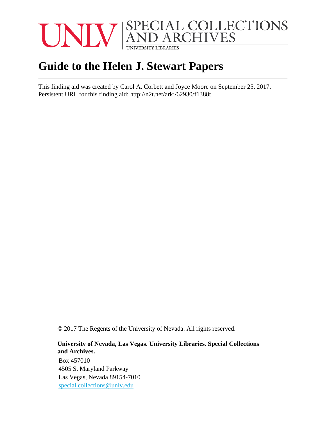

# **Guide to the Helen J. Stewart Papers**

This finding aid was created by Carol A. Corbett and Joyce Moore on September 25, 2017. Persistent URL for this finding aid: <http://n2t.net/ark:/62930/f1388t>

© 2017 The Regents of the University of Nevada. All rights reserved.

#### **University of Nevada, Las Vegas. University Libraries. Special Collections and Archives.**

Box 457010 4505 S. Maryland Parkway Las Vegas, Nevada 89154-7010 [special.collections@unlv.edu](mailto:special.collections@unlv.edu)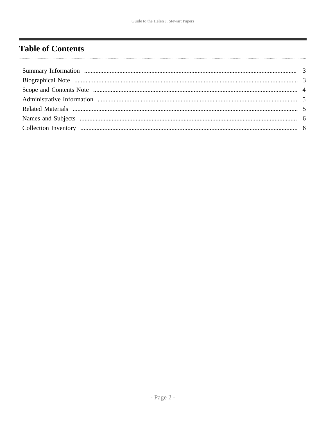# <span id="page-1-0"></span>**Table of Contents**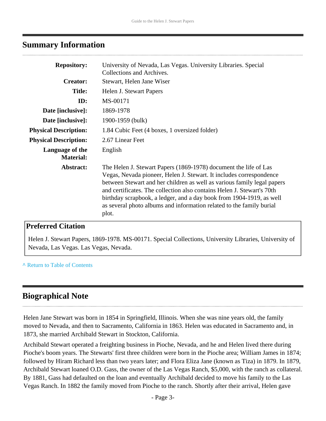### <span id="page-2-0"></span>**Summary Information**

| <b>Repository:</b>                  | University of Nevada, Las Vegas. University Libraries. Special<br>Collections and Archives.                                                                                                                                                                                                                                                                                                                                                           |
|-------------------------------------|-------------------------------------------------------------------------------------------------------------------------------------------------------------------------------------------------------------------------------------------------------------------------------------------------------------------------------------------------------------------------------------------------------------------------------------------------------|
| <b>Creator:</b>                     | Stewart, Helen Jane Wiser                                                                                                                                                                                                                                                                                                                                                                                                                             |
| <b>Title:</b>                       | Helen J. Stewart Papers                                                                                                                                                                                                                                                                                                                                                                                                                               |
| ID:                                 | MS-00171                                                                                                                                                                                                                                                                                                                                                                                                                                              |
| Date [inclusive]:                   | 1869-1978                                                                                                                                                                                                                                                                                                                                                                                                                                             |
| Date [inclusive]:                   | 1900-1959 (bulk)                                                                                                                                                                                                                                                                                                                                                                                                                                      |
| <b>Physical Description:</b>        | 1.84 Cubic Feet (4 boxes, 1 oversized folder)                                                                                                                                                                                                                                                                                                                                                                                                         |
| <b>Physical Description:</b>        | 2.67 Linear Feet                                                                                                                                                                                                                                                                                                                                                                                                                                      |
| Language of the<br><b>Material:</b> | English                                                                                                                                                                                                                                                                                                                                                                                                                                               |
| Abstract:                           | The Helen J. Stewart Papers (1869-1978) document the life of Las<br>Vegas, Nevada pioneer, Helen J. Stewart. It includes correspondence<br>between Stewart and her children as well as various family legal papers<br>and certificates. The collection also contains Helen J. Stewart's 70th<br>birthday scrapbook, a ledger, and a day book from 1904-1919, as well<br>as several photo albums and information related to the family burial<br>plot. |

### **Preferred Citation**

Helen J. Stewart Papers, 1869-1978. MS-00171. Special Collections, University Libraries, University of Nevada, Las Vegas. Las Vegas, Nevada.

**^** [Return to Table of Contents](#page-1-0)

# <span id="page-2-1"></span>**Biographical Note**

Helen Jane Stewart was born in 1854 in Springfield, Illinois. When she was nine years old, the family moved to Nevada, and then to Sacramento, California in 1863. Helen was educated in Sacramento and, in 1873, she married Archibald Stewart in Stockton, California.

Archibald Stewart operated a freighting business in Pioche, Nevada, and he and Helen lived there during Pioche's boom years. The Stewarts' first three children were born in the Pioche area; William James in 1874; followed by Hiram Richard less than two years later; and Flora Eliza Jane (known as Tiza) in 1879. In 1879, Archibald Stewart loaned O.D. Gass, the owner of the Las Vegas Ranch, \$5,000, with the ranch as collateral. By 1881, Gass had defaulted on the loan and eventually Archibald decided to move his family to the Las Vegas Ranch. In 1882 the family moved from Pioche to the ranch. Shortly after their arrival, Helen gave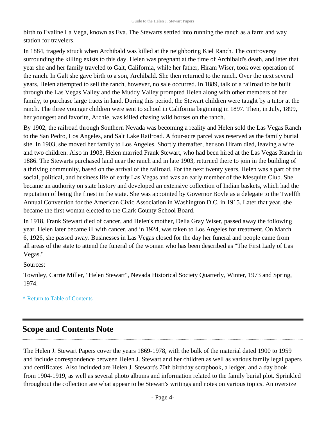birth to Evaline La Vega, known as Eva. The Stewarts settled into running the ranch as a farm and way station for travelers.

In 1884, tragedy struck when Archibald was killed at the neighboring Kiel Ranch. The controversy surrounding the killing exists to this day. Helen was pregnant at the time of Archibald's death, and later that year she and her family traveled to Galt, California, while her father, Hiram Wiser, took over operation of the ranch. In Galt she gave birth to a son, Archibald. She then returned to the ranch. Over the next several years, Helen attempted to sell the ranch, however, no sale occurred. In 1889, talk of a railroad to be built through the Las Vegas Valley and the Muddy Valley prompted Helen along with other members of her family, to purchase large tracts in land. During this period, the Stewart children were taught by a tutor at the ranch. The three younger children were sent to school in California beginning in 1897. Then, in July, 1899, her youngest and favorite, Archie, was killed chasing wild horses on the ranch.

By 1902, the railroad through Southern Nevada was becoming a reality and Helen sold the Las Vegas Ranch to the San Pedro, Los Angeles, and Salt Lake Railroad. A four-acre parcel was reserved as the family burial site. In 1903, she moved her family to Los Angeles. Shortly thereafter, her son Hiram died, leaving a wife and two children. Also in 1903, Helen married Frank Stewart, who had been hired at the Las Vegas Ranch in 1886. The Stewarts purchased land near the ranch and in late 1903, returned there to join in the building of a thriving community, based on the arrival of the railroad. For the next twenty years, Helen was a part of the social, political, and business life of early Las Vegas and was an early member of the Mesquite Club. She became an authority on state history and developed an extensive collection of Indian baskets, which had the reputation of being the finest in the state. She was appointed by Governor Boyle as a delegate to the Twelfth Annual Convention for the American Civic Association in Washington D.C. in 1915. Later that year, she became the first woman elected to the Clark County School Board.

In 1918, Frank Stewart died of cancer, and Helen's mother, Delia Gray Wiser, passed away the following year. Helen later became ill with cancer, and in 1924, was taken to Los Angeles for treatment. On March 6, 1926, she passed away. Businesses in Las Vegas closed for the day her funeral and people came from all areas of the state to attend the funeral of the woman who has been described as "The First Lady of Las Vegas."

Sources:

Townley, Carrie Miller, "Helen Stewart", Nevada Historical Society Quarterly, Winter, 1973 and Spring, 1974.

#### **^** [Return to Table of Contents](#page-1-0)

### <span id="page-3-0"></span>**Scope and Contents Note**

The Helen J. Stewart Papers cover the years 1869-1978, with the bulk of the material dated 1900 to 1959 and include correspondence between Helen J. Stewart and her children as well as various family legal papers and certificates. Also included are Helen J. Stewart's 70th birthday scrapbook, a ledger, and a day book from 1904-1919, as well as several photo albums and information related to the family burial plot. Sprinkled throughout the collection are what appear to be Stewart's writings and notes on various topics. An oversize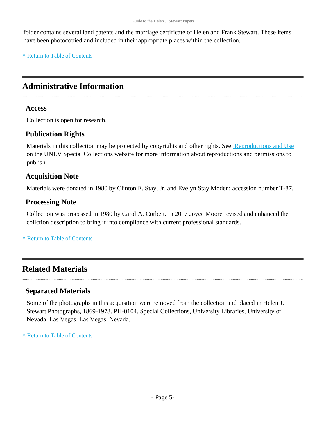folder contains several land patents and the marriage certificate of Helen and Frank Stewart. These items have been photocopied and included in their appropriate places within the collection.

**^** [Return to Table of Contents](#page-1-0)

# <span id="page-4-0"></span>**Administrative Information**

#### **Access**

Collection is open for research.

### **Publication Rights**

Materials in this collection may be protected by copyrights and other rights. See [Reproductions and Use](http://www.library.unlv.edu/speccol/research_and_services/reproductions) on the UNLV Special Collections website for more information about reproductions and permissions to publish.

### **Acquisition Note**

Materials were donated in 1980 by Clinton E. Stay, Jr. and Evelyn Stay Moden; accession number T-87.

#### **Processing Note**

Collection was processed in 1980 by Carol A. Corbett. In 2017 Joyce Moore revised and enhanced the collction description to bring it into compliance with current professional standards.

#### **^** [Return to Table of Contents](#page-1-0)

### <span id="page-4-1"></span>**Related Materials**

### **Separated Materials**

Some of the photographs in this acquisition were removed from the collection and placed in Helen J. Stewart Photographs, 1869-1978. PH-0104. Special Collections, University Libraries, University of Nevada, Las Vegas, Las Vegas, Nevada.

**^** [Return to Table of Contents](#page-1-0)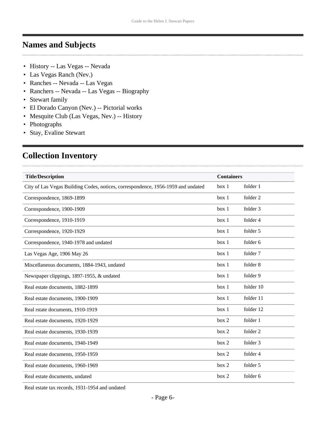## <span id="page-5-0"></span>**Names and Subjects**

- History -- Las Vegas -- Nevada
- Las Vegas Ranch (Nev.)
- Ranches -- Nevada -- Las Vegas
- Ranchers -- Nevada -- Las Vegas -- Biography
- Stewart family

. . . . . .

- El Dorado Canyon (Nev.) -- Pictorial works
- Mesquite Club (Las Vegas, Nev.) -- History
- Photographs
- Stay, Evaline Stewart

# <span id="page-5-1"></span>**Collection Inventory**

| <b>Title/Description</b>                                                         | <b>Containers</b> |           |
|----------------------------------------------------------------------------------|-------------------|-----------|
| City of Las Vegas Building Codes, notices, correspondence, 1956-1959 and undated | box 1             | folder 1  |
| Correspondence, 1869-1899                                                        | box 1             | folder 2  |
| Correspondence, 1900-1909                                                        | box 1             | folder 3  |
| Correspondence, 1910-1919                                                        | box 1             | folder 4  |
| Correspondence, 1920-1929                                                        | box 1             | folder 5  |
| Correspondence, 1940-1978 and undated                                            | box 1             | folder 6  |
| Las Vegas Age, 1906 May 26                                                       | box 1             | folder 7  |
| Miscellaneous documents, 1884-1943, undated                                      | box 1             | folder 8  |
| Newspaper clippings, 1897-1955, & undated                                        | box 1             | folder 9  |
| Real estate documents, 1882-1899                                                 | box 1             | folder 10 |
| Real estate documents, 1900-1909                                                 | box 1             | folder 11 |
| Real rstate documents, 1910-1919                                                 | box 1             | folder 12 |
| Real estate documents, 1920-1929                                                 | box 2             | folder 1  |
| Real estate documents, 1930-1939                                                 | box 2             | folder 2  |
| Real estate documents, 1940-1949                                                 | box 2             | folder 3  |
| Real estate documents, 1950-1959                                                 | box 2             | folder 4  |
| Real estate documents, 1960-1969                                                 | box 2             | folder 5  |
| Real estate documents, undated                                                   | box 2             | folder 6  |

Real estate tax records, 1931-1954 and undated